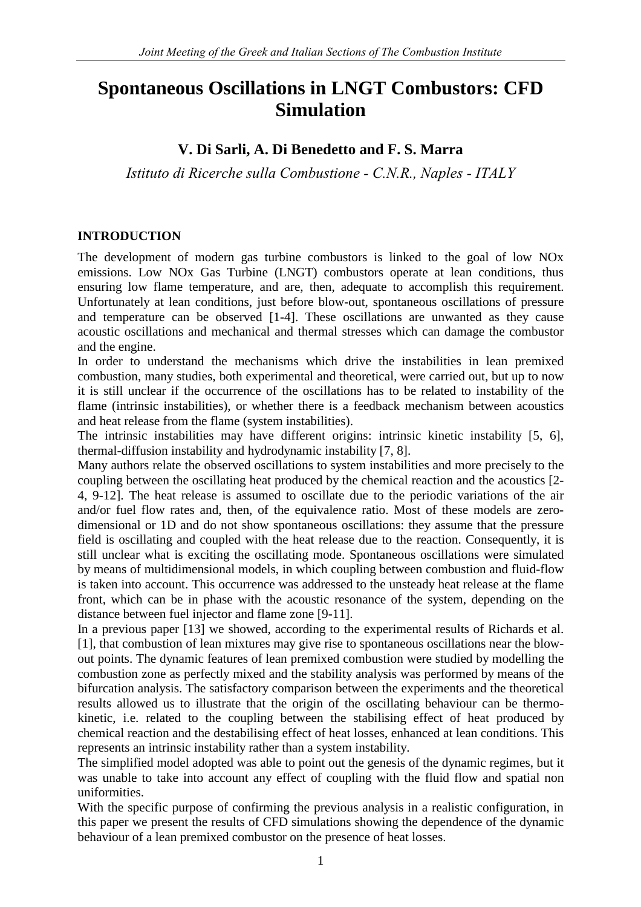# **Spontaneous Oscillations in LNGT Combustors: CFD Simulation**

## **V. Di Sarli, A. Di Benedetto and F. S. Marra**

*Istituto di Ricerche sulla Combustione - C.N.R., Naples - ITALY* 

#### **INTRODUCTION**

The development of modern gas turbine combustors is linked to the goal of low NOx emissions. Low NOx Gas Turbine (LNGT) combustors operate at lean conditions, thus ensuring low flame temperature, and are, then, adequate to accomplish this requirement. Unfortunately at lean conditions, just before blow-out, spontaneous oscillations of pressure and temperature can be observed [1-4]. These oscillations are unwanted as they cause acoustic oscillations and mechanical and thermal stresses which can damage the combustor and the engine.

In order to understand the mechanisms which drive the instabilities in lean premixed combustion, many studies, both experimental and theoretical, were carried out, but up to now it is still unclear if the occurrence of the oscillations has to be related to instability of the flame (intrinsic instabilities), or whether there is a feedback mechanism between acoustics and heat release from the flame (system instabilities).

The intrinsic instabilities may have different origins: intrinsic kinetic instability [5, 6], thermal-diffusion instability and hydrodynamic instability [7, 8].

Many authors relate the observed oscillations to system instabilities and more precisely to the coupling between the oscillating heat produced by the chemical reaction and the acoustics [2- 4, 9-12]. The heat release is assumed to oscillate due to the periodic variations of the air and/or fuel flow rates and, then, of the equivalence ratio. Most of these models are zerodimensional or 1D and do not show spontaneous oscillations: they assume that the pressure field is oscillating and coupled with the heat release due to the reaction. Consequently, it is still unclear what is exciting the oscillating mode. Spontaneous oscillations were simulated by means of multidimensional models, in which coupling between combustion and fluid-flow is taken into account. This occurrence was addressed to the unsteady heat release at the flame front, which can be in phase with the acoustic resonance of the system, depending on the distance between fuel injector and flame zone [9-11].

In a previous paper [13] we showed, according to the experimental results of Richards et al. [1], that combustion of lean mixtures may give rise to spontaneous oscillations near the blowout points. The dynamic features of lean premixed combustion were studied by modelling the combustion zone as perfectly mixed and the stability analysis was performed by means of the bifurcation analysis. The satisfactory comparison between the experiments and the theoretical results allowed us to illustrate that the origin of the oscillating behaviour can be thermokinetic, i.e. related to the coupling between the stabilising effect of heat produced by chemical reaction and the destabilising effect of heat losses, enhanced at lean conditions. This represents an intrinsic instability rather than a system instability.

The simplified model adopted was able to point out the genesis of the dynamic regimes, but it was unable to take into account any effect of coupling with the fluid flow and spatial non uniformities.

With the specific purpose of confirming the previous analysis in a realistic configuration, in this paper we present the results of CFD simulations showing the dependence of the dynamic behaviour of a lean premixed combustor on the presence of heat losses.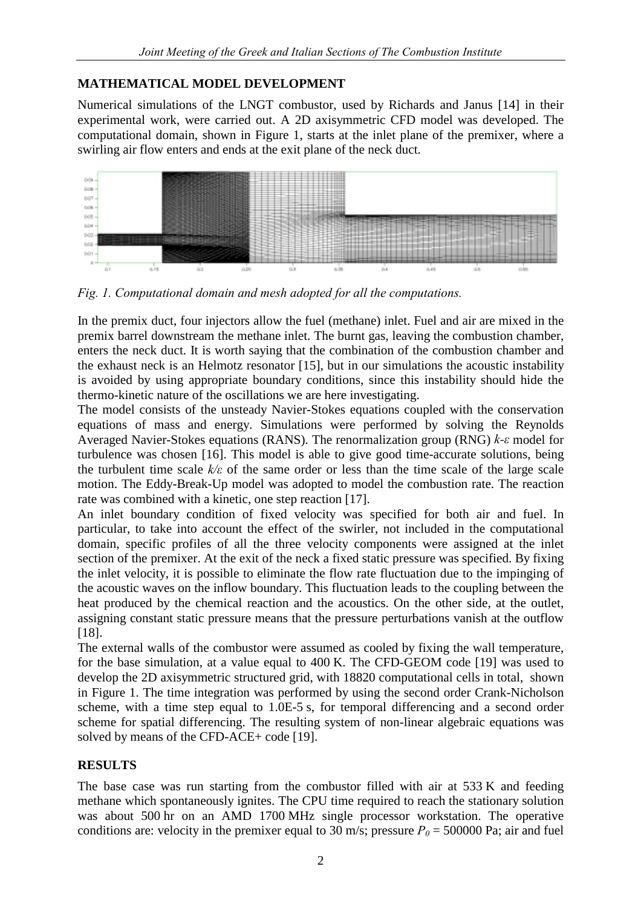#### **MATHEMATICAL MODEL DEVELOPMENT**

Numerical simulations of the LNGT combustor, used by Richards and Janus [14] in their experimental work, were carried out. A 2D axisymmetric CFD model was developed. The computational domain, shown in Figure 1, starts at the inlet plane of the premixer, where a swirling air flow enters and ends at the exit plane of the neck duct.



*Fig. 1. Computational domain and mesh adopted for all the computations.* 

In the premix duct, four injectors allow the fuel (methane) inlet. Fuel and air are mixed in the premix barrel downstream the methane inlet. The burnt gas, leaving the combustion chamber, enters the neck duct. It is worth saying that the combination of the combustion chamber and the exhaust neck is an Helmotz resonator [15], but in our simulations the acoustic instability is avoided by using appropriate boundary conditions, since this instability should hide the thermo-kinetic nature of the oscillations we are here investigating.

The model consists of the unsteady Navier-Stokes equations coupled with the conservation equations of mass and energy. Simulations were performed by solving the Reynolds Averaged Navier-Stokes equations (RANS). The renormalization group (RNG) *k-ε* model for turbulence was chosen [16]. This model is able to give good time-accurate solutions, being the turbulent time scale *k/ε* of the same order or less than the time scale of the large scale motion. The Eddy-Break-Up model was adopted to model the combustion rate. The reaction rate was combined with a kinetic, one step reaction [17].

An inlet boundary condition of fixed velocity was specified for both air and fuel. In particular, to take into account the effect of the swirler, not included in the computational domain, specific profiles of all the three velocity components were assigned at the inlet section of the premixer. At the exit of the neck a fixed static pressure was specified. By fixing the inlet velocity, it is possible to eliminate the flow rate fluctuation due to the impinging of the acoustic waves on the inflow boundary. This fluctuation leads to the coupling between the heat produced by the chemical reaction and the acoustics. On the other side, at the outlet, assigning constant static pressure means that the pressure perturbations vanish at the outflow [18].

The external walls of the combustor were assumed as cooled by fixing the wall temperature, for the base simulation, at a value equal to 400 K. The CFD-GEOM code [19] was used to develop the 2D axisymmetric structured grid, with 18820 computational cells in total, shown in Figure 1. The time integration was performed by using the second order Crank-Nicholson scheme, with a time step equal to 1.0E-5 s, for temporal differencing and a second order scheme for spatial differencing. The resulting system of non-linear algebraic equations was solved by means of the CFD-ACE+ code [19].

### **RESULTS**

The base case was run starting from the combustor filled with air at 533 K and feeding methane which spontaneously ignites. The CPU time required to reach the stationary solution was about 500 hr on an AMD 1700 MHz single processor workstation. The operative conditions are: velocity in the premixer equal to 30 m/s; pressure  $P_0 = 500000$  Pa; air and fuel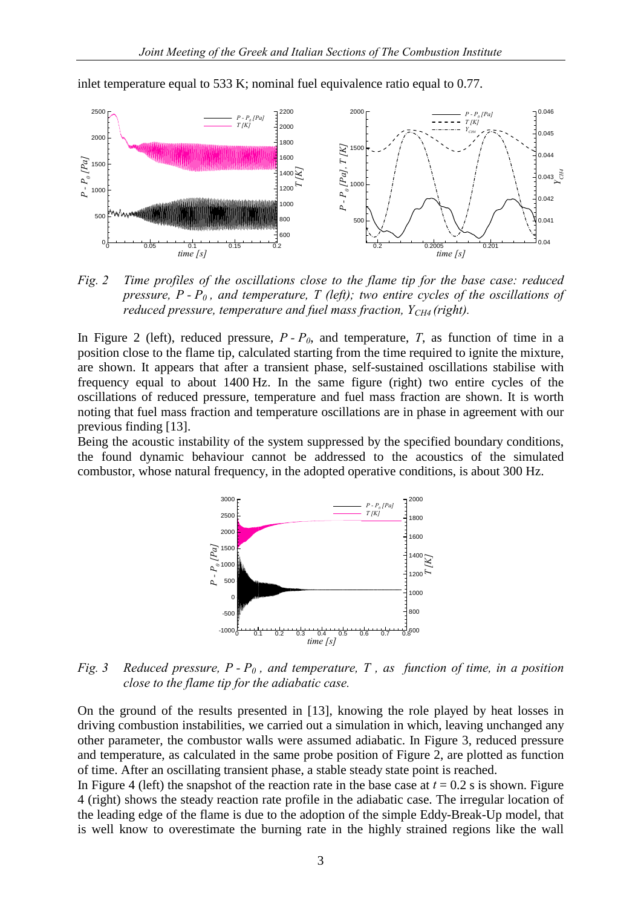

inlet temperature equal to 533 K; nominal fuel equivalence ratio equal to 0.77.

*Fig. 2 Time profiles of the oscillations close to the flame tip for the base case: reduced pressure, P - P0 , and temperature, T (left); two entire cycles of the oscillations of reduced pressure, temperature and fuel mass fraction, Y<sub>CH4</sub> (right).* 

In Figure 2 (left), reduced pressure,  $P - P_0$ , and temperature,  $T$ , as function of time in a position close to the flame tip, calculated starting from the time required to ignite the mixture, are shown. It appears that after a transient phase, self-sustained oscillations stabilise with frequency equal to about 1400 Hz. In the same figure (right) two entire cycles of the oscillations of reduced pressure, temperature and fuel mass fraction are shown. It is worth noting that fuel mass fraction and temperature oscillations are in phase in agreement with our previous finding [13].

Being the acoustic instability of the system suppressed by the specified boundary conditions, the found dynamic behaviour cannot be addressed to the acoustics of the simulated combustor, whose natural frequency, in the adopted operative conditions, is about 300 Hz.



*Fig. 3 Reduced pressure, P - P<sub>0</sub>, and temperature, T, as function of time, in a position close to the flame tip for the adiabatic case.* 

On the ground of the results presented in [13], knowing the role played by heat losses in driving combustion instabilities, we carried out a simulation in which, leaving unchanged any other parameter, the combustor walls were assumed adiabatic. In Figure 3, reduced pressure and temperature, as calculated in the same probe position of Figure 2, are plotted as function of time. After an oscillating transient phase, a stable steady state point is reached.

In Figure 4 (left) the snapshot of the reaction rate in the base case at  $t = 0.2$  s is shown. Figure 4 (right) shows the steady reaction rate profile in the adiabatic case. The irregular location of the leading edge of the flame is due to the adoption of the simple Eddy-Break-Up model, that is well know to overestimate the burning rate in the highly strained regions like the wall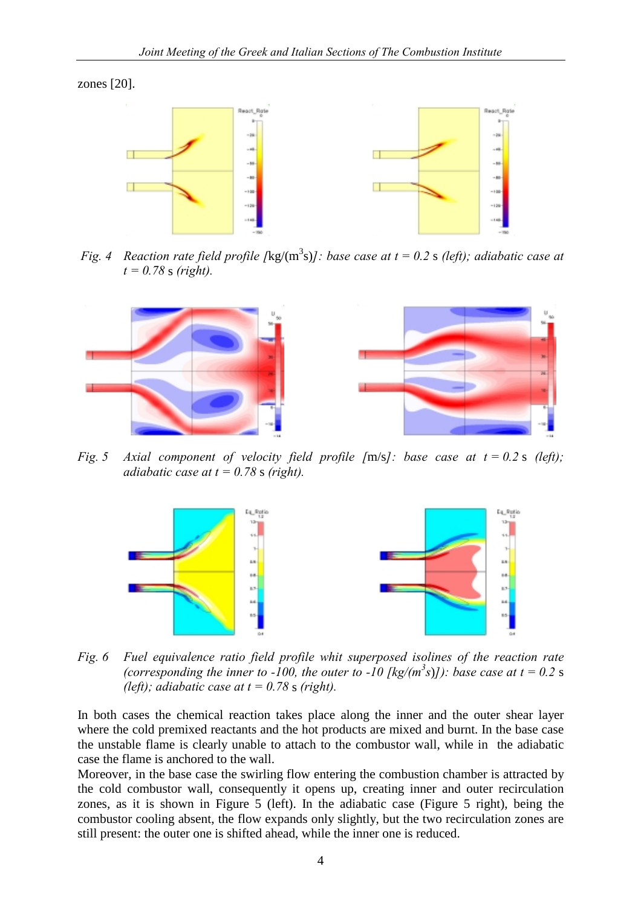zones [20].



*Fig. 4 Reaction rate field profile [kg/(m<sup>3</sup>s)]: base case at t = 0.2 s (left); adiabatic case at t = 0.78* s *(right).* 



*Fig. 5 Axial component of velocity field profile [*m/s*]: base case at t = 0.2* s *(left); adiabatic case at t = 0.78 s (right).* 



*Fig. 6 Fuel equivalence ratio field profile whit superposed isolines of the reaction rate (corresponding the inner to -100, the outer to -10 [kg/(m<sup>3</sup>s)]): base case at t = 0.2 s (left); adiabatic case at t = 0.78 s (right).* 

In both cases the chemical reaction takes place along the inner and the outer shear layer where the cold premixed reactants and the hot products are mixed and burnt. In the base case the unstable flame is clearly unable to attach to the combustor wall, while in the adiabatic case the flame is anchored to the wall.

Moreover, in the base case the swirling flow entering the combustion chamber is attracted by the cold combustor wall, consequently it opens up, creating inner and outer recirculation zones, as it is shown in Figure 5 (left). In the adiabatic case (Figure 5 right), being the combustor cooling absent, the flow expands only slightly, but the two recirculation zones are still present: the outer one is shifted ahead, while the inner one is reduced.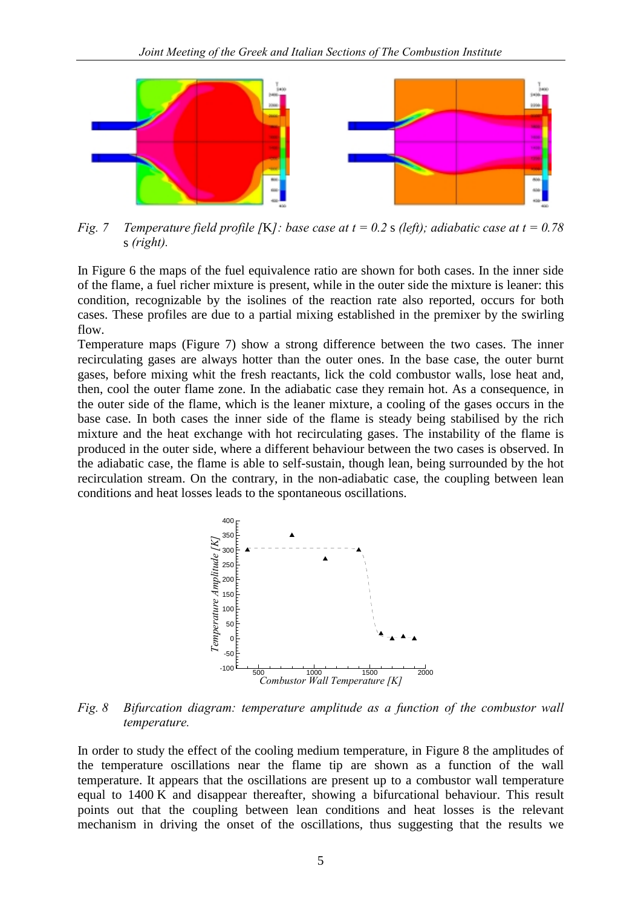

*Fig. 7 Temperature field profile [*K*]: base case at t = 0.2* s *(left); adiabatic case at t = 0.78*  s *(right).* 

In Figure 6 the maps of the fuel equivalence ratio are shown for both cases. In the inner side of the flame, a fuel richer mixture is present, while in the outer side the mixture is leaner: this condition, recognizable by the isolines of the reaction rate also reported, occurs for both cases. These profiles are due to a partial mixing established in the premixer by the swirling flow.

Temperature maps (Figure 7) show a strong difference between the two cases. The inner recirculating gases are always hotter than the outer ones. In the base case, the outer burnt gases, before mixing whit the fresh reactants, lick the cold combustor walls, lose heat and, then, cool the outer flame zone. In the adiabatic case they remain hot. As a consequence, in the outer side of the flame, which is the leaner mixture, a cooling of the gases occurs in the base case. In both cases the inner side of the flame is steady being stabilised by the rich mixture and the heat exchange with hot recirculating gases. The instability of the flame is produced in the outer side, where a different behaviour between the two cases is observed. In the adiabatic case, the flame is able to self-sustain, though lean, being surrounded by the hot recirculation stream. On the contrary, in the non-adiabatic case, the coupling between lean conditions and heat losses leads to the spontaneous oscillations.



*Fig. 8 Bifurcation diagram: temperature amplitude as a function of the combustor wall temperature.* 

In order to study the effect of the cooling medium temperature, in Figure 8 the amplitudes of the temperature oscillations near the flame tip are shown as a function of the wall temperature. It appears that the oscillations are present up to a combustor wall temperature equal to 1400 K and disappear thereafter, showing a bifurcational behaviour. This result points out that the coupling between lean conditions and heat losses is the relevant mechanism in driving the onset of the oscillations, thus suggesting that the results we